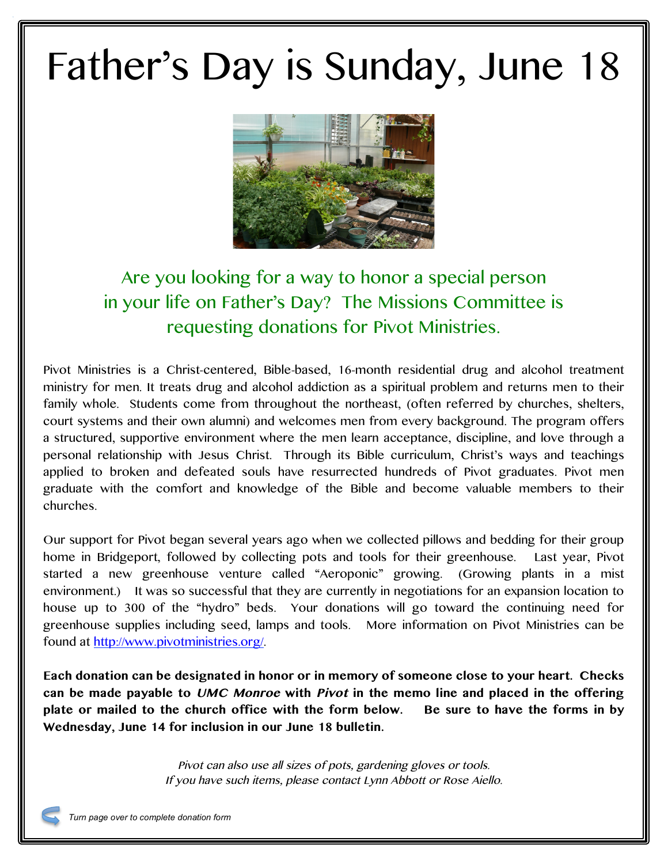## Father's Day is Sunday, June 18



## Are you looking for a way to honor a special person in your life on Father's Day? The Missions Committee is requesting donations for Pivot Ministries.

Pivot Ministries is a Christ-centered, Bible-based, 16-month residential drug and alcohol treatment ministry for men. It treats drug and alcohol addiction as a spiritual problem and returns men to their family whole. Students come from throughout the northeast, (often referred by churches, shelters, court systems and their own alumni) and welcomes men from every background. The program offers a structured, supportive environment where the men learn acceptance, discipline, and love through a personal relationship with Jesus Christ. Through its Bible curriculum, Christ's ways and teachings applied to broken and defeated souls have resurrected hundreds of Pivot graduates. Pivot men graduate with the comfort and knowledge of the Bible and become valuable members to their churches.

Our support for Pivot began several years ago when we collected pillows and bedding for their group home in Bridgeport, followed by collecting pots and tools for their greenhouse. Last year, Pivot started a new greenhouse venture called "Aeroponic" growing. (Growing plants in a mist environment.) It was so successful that they are currently in negotiations for an expansion location to house up to 300 of the "hydro" beds. Your donations will go toward the continuing need for greenhouse supplies including seed, lamps and tools. More information on Pivot Ministries can be found at http://www.pivotministries.org/.

**Each donation can be designated in honor or in memory of someone close to your heart. Checks can be made payable to UMC Monroe with Pivot in the memo line and placed in the offering plate or mailed to the church office with the form below. Be sure to have the forms in by Wednesday, June 14 for inclusion in our June 18 bulletin.**

> Pivot can also use all sizes of pots, gardening gloves or tools. If you have such items, please contact Lynn Abbott or Rose Aiello.